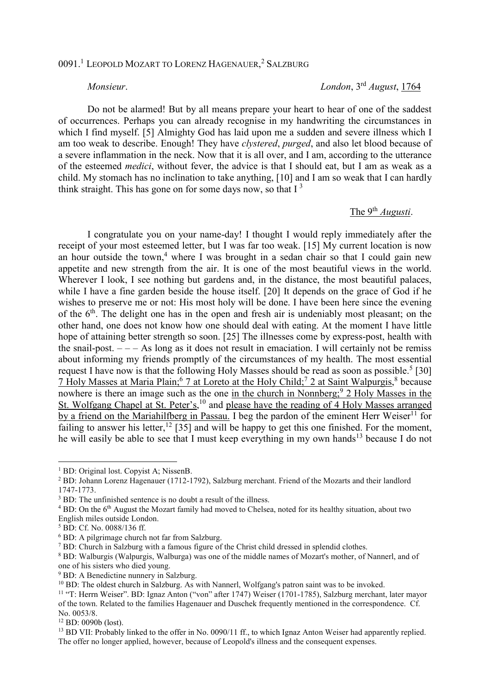## 0091.<sup>1</sup> LEOPOLD MOZART TO LORENZ HAGENAUER, <sup>2</sup> SALZBURG

*Monsieur*. *London*, 3rd *August*, 1764

 Do not be alarmed! But by all means prepare your heart to hear of one of the saddest of occurrences. Perhaps you can already recognise in my handwriting the circumstances in which I find myself. [5] Almighty God has laid upon me a sudden and severe illness which I am too weak to describe. Enough! They have *clystered*, *purged*, and also let blood because of a severe inflammation in the neck. Now that it is all over, and I am, according to the utterance of the esteemed *medici*, without fever, the advice is that I should eat, but I am as weak as a child. My stomach has no inclination to take anything, [10] and I am so weak that I can hardly think straight. This has gone on for some days now, so that  $I<sup>3</sup>$ 

## The 9<sup>th</sup> *Augusti*.

 I congratulate you on your name-day! I thought I would reply immediately after the receipt of your most esteemed letter, but I was far too weak. [15] My current location is now an hour outside the town,<sup>4</sup> where I was brought in a sedan chair so that I could gain new appetite and new strength from the air. It is one of the most beautiful views in the world. Wherever I look, I see nothing but gardens and, in the distance, the most beautiful palaces, while I have a fine garden beside the house itself. [20] It depends on the grace of God if he wishes to preserve me or not: His most holy will be done. I have been here since the evening of the  $6<sup>th</sup>$ . The delight one has in the open and fresh air is undeniably most pleasant; on the other hand, one does not know how one should deal with eating. At the moment I have little hope of attaining better strength so soon. [25] The illnesses come by express-post, health with the snail-post.  $---$  As long as it does not result in emaciation. I will certainly not be remiss about informing my friends promptly of the circumstances of my health. The most essential request I have now is that the following Holy Masses should be read as soon as possible.<sup>5</sup> [30] 7 Holy Masses at Maria Plain;<sup>6</sup> 7 at Loreto at the Holy Child;<sup>7</sup> 2 at Saint Walpurgis,<sup>8</sup> because nowhere is there an image such as the one in the church in Nonnberg;<sup>9</sup> 2 Holy Masses in the St. Wolfgang Chapel at St. Peter's,<sup>10</sup> and please have the reading of 4 Holy Masses arranged by a friend on the Mariahilfberg in Passau. I beg the pardon of the eminent Herr Weiser<sup>11</sup> for failing to answer his letter,<sup>12</sup> [35] and will be happy to get this one finished. For the moment, he will easily be able to see that I must keep everything in my own hands<sup>13</sup> because I do not

 $\overline{a}$ 

<sup>&</sup>lt;sup>1</sup> BD: Original lost. Copyist A; NissenB.

<sup>&</sup>lt;sup>2</sup> BD: Johann Lorenz Hagenauer (1712-1792), Salzburg merchant. Friend of the Mozarts and their landlord 1747-1773.

<sup>&</sup>lt;sup>3</sup> BD: The unfinished sentence is no doubt a result of the illness.

<sup>&</sup>lt;sup>4</sup> BD: On the 6<sup>th</sup> August the Mozart family had moved to Chelsea, noted for its healthy situation, about two English miles outside London.

<sup>5</sup> BD: Cf. No. 0088/136 ff.

<sup>6</sup> BD: A pilgrimage church not far from Salzburg.

 $<sup>7</sup>$  BD: Church in Salzburg with a famous figure of the Christ child dressed in splendid clothes.</sup>

<sup>&</sup>lt;sup>8</sup> BD: Walburgis (Walpurgis, Walburga) was one of the middle names of Mozart's mother, of Nannerl, and of one of his sisters who died young.

<sup>&</sup>lt;sup>9</sup> BD: A Benedictine nunnery in Salzburg.

<sup>&</sup>lt;sup>10</sup> BD: The oldest church in Salzburg. As with Nannerl, Wolfgang's patron saint was to be invoked.

<sup>11</sup> "T: Herrn Weiser". BD: Ignaz Anton ("von" after 1747) Weiser (1701-1785), Salzburg merchant, later mayor of the town. Related to the families Hagenauer and Duschek frequently mentioned in the correspondence. Cf. No. 0053/8.

<sup>12</sup> BD: 0090b (lost).

<sup>&</sup>lt;sup>13</sup> BD VII: Probably linked to the offer in No. 0090/11 ff., to which Ignaz Anton Weiser had apparently replied. The offer no longer applied, however, because of Leopold's illness and the consequent expenses.